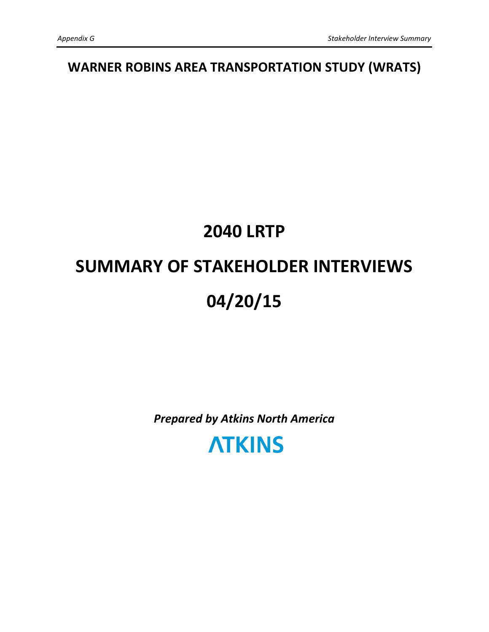WARNER ROBINS AREA TRANSPORTATION STUDY (WRATS)

# 2040 LRTP SUMMARY OF STAKEHOLDER INTERVIEWS 04/20/15

Prepared by Atkins North America

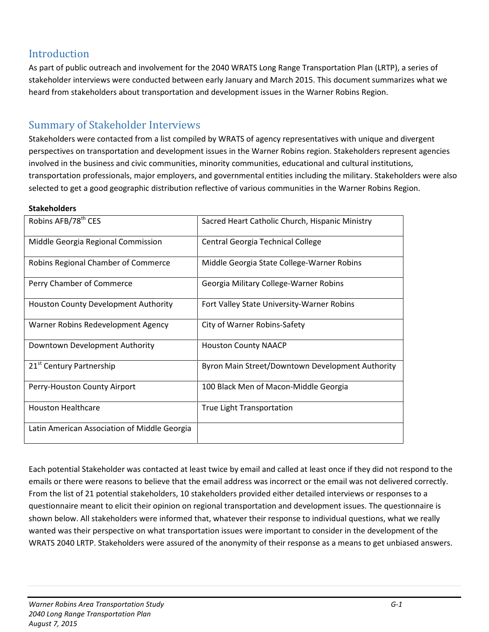# Introduction

As part of public outreach and involvement for the 2040 WRATS Long Range Transportation Plan (LRTP), a series of stakeholder interviews were conducted between early January and March 2015. This document summarizes what we heard from stakeholders about transportation and development issues in the Warner Robins Region.

## Summary of Stakeholder Interviews

Stakeholders were contacted from a list compiled by WRATS of agency representatives with unique and divergent perspectives on transportation and development issues in the Warner Robins region. Stakeholders represent agencies involved in the business and civic communities, minority communities, educational and cultural institutions, transportation professionals, major employers, and governmental entities including the military. Stakeholders were also selected to get a good geographic distribution reflective of various communities in the Warner Robins Region.

#### **Stakeholders**

| Robins AFB/78 <sup>th</sup> CES              | Sacred Heart Catholic Church, Hispanic Ministry  |
|----------------------------------------------|--------------------------------------------------|
| Middle Georgia Regional Commission           | Central Georgia Technical College                |
| Robins Regional Chamber of Commerce          | Middle Georgia State College-Warner Robins       |
| Perry Chamber of Commerce                    | Georgia Military College-Warner Robins           |
| Houston County Development Authority         | Fort Valley State University-Warner Robins       |
| Warner Robins Redevelopment Agency           | City of Warner Robins-Safety                     |
| Downtown Development Authority               | <b>Houston County NAACP</b>                      |
| 21 <sup>st</sup> Century Partnership         | Byron Main Street/Downtown Development Authority |
| Perry-Houston County Airport                 | 100 Black Men of Macon-Middle Georgia            |
| <b>Houston Healthcare</b>                    | True Light Transportation                        |
| Latin American Association of Middle Georgia |                                                  |

Each potential Stakeholder was contacted at least twice by email and called at least once if they did not respond to the emails or there were reasons to believe that the email address was incorrect or the email was not delivered correctly. From the list of 21 potential stakeholders, 10 stakeholders provided either detailed interviews or responses to a questionnaire meant to elicit their opinion on regional transportation and development issues. The questionnaire is shown below. All stakeholders were informed that, whatever their response to individual questions, what we really wanted was their perspective on what transportation issues were important to consider in the development of the WRATS 2040 LRTP. Stakeholders were assured of the anonymity of their response as a means to get unbiased answers.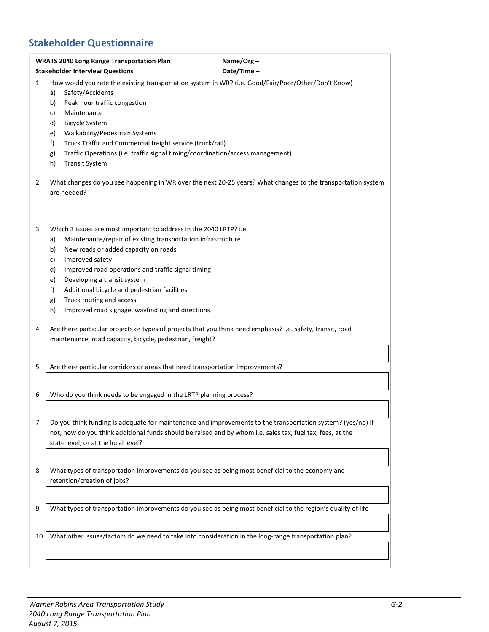# Stakeholder Questionnaire

|    | <b>WRATS 2040 Long Range Transportation Plan</b><br>Name/Org-                                                                                                                            |                                                                                |  |  |  |  |  |  |
|----|------------------------------------------------------------------------------------------------------------------------------------------------------------------------------------------|--------------------------------------------------------------------------------|--|--|--|--|--|--|
|    | Date/Time-<br><b>Stakeholder Interview Questions</b>                                                                                                                                     |                                                                                |  |  |  |  |  |  |
| 1. | How would you rate the existing transportation system in WR? (i.e. Good/Fair/Poor/Other/Don't Know)<br>Safety/Accidents<br>a)<br>Peak hour traffic congestion<br>b)<br>Maintenance<br>c) |                                                                                |  |  |  |  |  |  |
|    | <b>Bicycle System</b><br>d)                                                                                                                                                              |                                                                                |  |  |  |  |  |  |
|    | Walkability/Pedestrian Systems<br>e)                                                                                                                                                     |                                                                                |  |  |  |  |  |  |
|    | Truck Traffic and Commercial freight service (truck/rail)<br>f)                                                                                                                          |                                                                                |  |  |  |  |  |  |
|    | g)                                                                                                                                                                                       | Traffic Operations (i.e. traffic signal timing/coordination/access management) |  |  |  |  |  |  |
|    | h)<br><b>Transit System</b>                                                                                                                                                              |                                                                                |  |  |  |  |  |  |
| 2. | What changes do you see happening in WR over the next 20-25 years? What changes to the transportation system<br>are needed?                                                              |                                                                                |  |  |  |  |  |  |
|    |                                                                                                                                                                                          |                                                                                |  |  |  |  |  |  |
| 3. | Which 3 issues are most important to address in the 2040 LRTP? i.e.                                                                                                                      |                                                                                |  |  |  |  |  |  |
|    | Maintenance/repair of existing transportation infrastructure<br>a)                                                                                                                       |                                                                                |  |  |  |  |  |  |
|    | New roads or added capacity on roads<br>b)                                                                                                                                               |                                                                                |  |  |  |  |  |  |
|    | Improved safety<br>c)                                                                                                                                                                    |                                                                                |  |  |  |  |  |  |
|    | d)<br>Improved road operations and traffic signal timing                                                                                                                                 |                                                                                |  |  |  |  |  |  |
|    | e)<br>Developing a transit system<br>f)<br>Additional bicycle and pedestrian facilities                                                                                                  |                                                                                |  |  |  |  |  |  |
|    | Truck routing and access<br>g)                                                                                                                                                           |                                                                                |  |  |  |  |  |  |
|    | Improved road signage, wayfinding and directions<br>h)                                                                                                                                   |                                                                                |  |  |  |  |  |  |
|    |                                                                                                                                                                                          |                                                                                |  |  |  |  |  |  |
| 4. | Are there particular projects or types of projects that you think need emphasis? i.e. safety, transit, road                                                                              |                                                                                |  |  |  |  |  |  |
|    | maintenance, road capacity, bicycle, pedestrian, freight?                                                                                                                                |                                                                                |  |  |  |  |  |  |
|    |                                                                                                                                                                                          |                                                                                |  |  |  |  |  |  |
| 5. | Are there particular corridors or areas that need transportation improvements?                                                                                                           |                                                                                |  |  |  |  |  |  |
| 6. | Who do you think needs to be engaged in the LRTP planning process?                                                                                                                       |                                                                                |  |  |  |  |  |  |
|    |                                                                                                                                                                                          |                                                                                |  |  |  |  |  |  |
|    |                                                                                                                                                                                          |                                                                                |  |  |  |  |  |  |
| 7. | Do you think funding is adequate for maintenance and improvements to the transportation system? (yes/no) If                                                                              |                                                                                |  |  |  |  |  |  |
|    | not, how do you think additional funds should be raised and by whom i.e. sales tax, fuel tax, fees, at the                                                                               |                                                                                |  |  |  |  |  |  |
|    | state level, or at the local level?                                                                                                                                                      |                                                                                |  |  |  |  |  |  |
|    |                                                                                                                                                                                          |                                                                                |  |  |  |  |  |  |
| 8. | What types of transportation improvements do you see as being most beneficial to the economy and                                                                                         |                                                                                |  |  |  |  |  |  |
|    | retention/creation of jobs?                                                                                                                                                              |                                                                                |  |  |  |  |  |  |
|    |                                                                                                                                                                                          |                                                                                |  |  |  |  |  |  |
| 9. | What types of transportation improvements do you see as being most beneficial to the region's quality of life                                                                            |                                                                                |  |  |  |  |  |  |
|    |                                                                                                                                                                                          |                                                                                |  |  |  |  |  |  |
|    | 10. What other issues/factors do we need to take into consideration in the long-range transportation plan?                                                                               |                                                                                |  |  |  |  |  |  |
|    |                                                                                                                                                                                          |                                                                                |  |  |  |  |  |  |
|    |                                                                                                                                                                                          |                                                                                |  |  |  |  |  |  |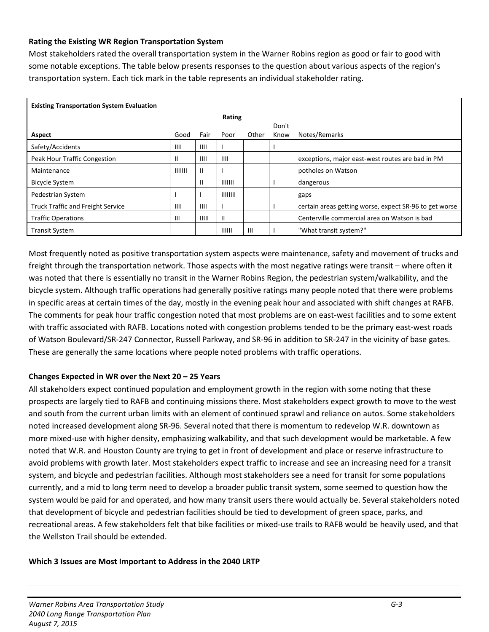#### Rating the Existing WR Region Transportation System

Most stakeholders rated the overall transportation system in the Warner Robins region as good or fair to good with some notable exceptions. The table below presents responses to the question about various aspects of the region's transportation system. Each tick mark in the table represents an individual stakeholder rating.

| <b>Existing Transportation System Evaluation</b> |         |       |          |       |       |                                                        |  |  |  |
|--------------------------------------------------|---------|-------|----------|-------|-------|--------------------------------------------------------|--|--|--|
|                                                  | Rating  |       |          |       |       |                                                        |  |  |  |
|                                                  |         |       |          |       | Don't |                                                        |  |  |  |
| Aspect                                           | Good    | Fair  | Poor     | Other | Know  | Notes/Remarks                                          |  |  |  |
| Safety/Accidents                                 | III     | III   |          |       |       |                                                        |  |  |  |
| Peak Hour Traffic Congestion                     | Ш       | III1  | ШI       |       |       | exceptions, major east-west routes are bad in PM       |  |  |  |
| Maintenance                                      | 1111111 | Ш     |          |       |       | potholes on Watson                                     |  |  |  |
| <b>Bicycle System</b>                            |         | Ш     | 1111111  |       |       | dangerous                                              |  |  |  |
| Pedestrian System                                |         |       | 11111111 |       |       | gaps                                                   |  |  |  |
| <b>Truck Traffic and Freight Service</b>         | ШЕ      | Ш     |          |       |       | certain areas getting worse, expect SR-96 to get worse |  |  |  |
| <b>Traffic Operations</b>                        | Ш       | IIIII | Ш        |       |       | Centerville commercial area on Watson is bad           |  |  |  |
| <b>Transit System</b>                            |         |       | 111111   | Ш     |       | "What transit system?"                                 |  |  |  |

Most frequently noted as positive transportation system aspects were maintenance, safety and movement of trucks and freight through the transportation network. Those aspects with the most negative ratings were transit – where often it was noted that there is essentially no transit in the Warner Robins Region, the pedestrian system/walkability, and the bicycle system. Although traffic operations had generally positive ratings many people noted that there were problems in specific areas at certain times of the day, mostly in the evening peak hour and associated with shift changes at RAFB. The comments for peak hour traffic congestion noted that most problems are on east-west facilities and to some extent with traffic associated with RAFB. Locations noted with congestion problems tended to be the primary east-west roads of Watson Boulevard/SR-247 Connector, Russell Parkway, and SR-96 in addition to SR-247 in the vicinity of base gates. These are generally the same locations where people noted problems with traffic operations.

#### Changes Expected in WR over the Next 20 – 25 Years

All stakeholders expect continued population and employment growth in the region with some noting that these prospects are largely tied to RAFB and continuing missions there. Most stakeholders expect growth to move to the west and south from the current urban limits with an element of continued sprawl and reliance on autos. Some stakeholders noted increased development along SR-96. Several noted that there is momentum to redevelop W.R. downtown as more mixed-use with higher density, emphasizing walkability, and that such development would be marketable. A few noted that W.R. and Houston County are trying to get in front of development and place or reserve infrastructure to avoid problems with growth later. Most stakeholders expect traffic to increase and see an increasing need for a transit system, and bicycle and pedestrian facilities. Although most stakeholders see a need for transit for some populations currently, and a mid to long term need to develop a broader public transit system, some seemed to question how the system would be paid for and operated, and how many transit users there would actually be. Several stakeholders noted that development of bicycle and pedestrian facilities should be tied to development of green space, parks, and recreational areas. A few stakeholders felt that bike facilities or mixed-use trails to RAFB would be heavily used, and that the Wellston Trail should be extended.

#### Which 3 Issues are Most Important to Address in the 2040 LRTP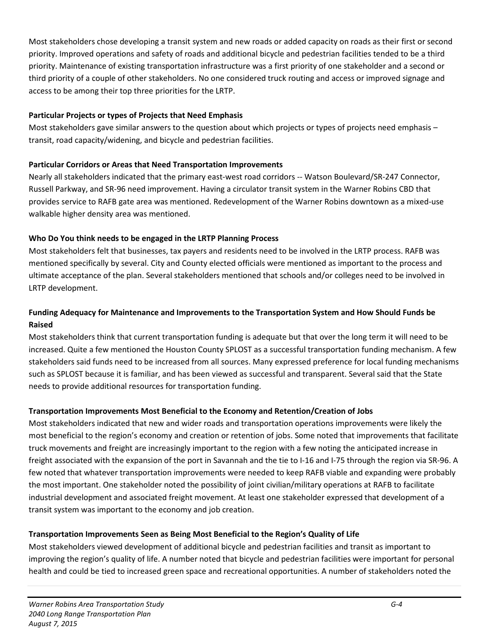Most stakeholders chose developing a transit system and new roads or added capacity on roads as their first or second priority. Improved operations and safety of roads and additional bicycle and pedestrian facilities tended to be a third priority. Maintenance of existing transportation infrastructure was a first priority of one stakeholder and a second or third priority of a couple of other stakeholders. No one considered truck routing and access or improved signage and access to be among their top three priorities for the LRTP.

#### Particular Projects or types of Projects that Need Emphasis

Most stakeholders gave similar answers to the question about which projects or types of projects need emphasis transit, road capacity/widening, and bicycle and pedestrian facilities.

#### Particular Corridors or Areas that Need Transportation Improvements

Nearly all stakeholders indicated that the primary east-west road corridors -- Watson Boulevard/SR-247 Connector, Russell Parkway, and SR-96 need improvement. Having a circulator transit system in the Warner Robins CBD that provides service to RAFB gate area was mentioned. Redevelopment of the Warner Robins downtown as a mixed-use walkable higher density area was mentioned.

#### Who Do You think needs to be engaged in the LRTP Planning Process

Most stakeholders felt that businesses, tax payers and residents need to be involved in the LRTP process. RAFB was mentioned specifically by several. City and County elected officials were mentioned as important to the process and ultimate acceptance of the plan. Several stakeholders mentioned that schools and/or colleges need to be involved in LRTP development.

#### Funding Adequacy for Maintenance and Improvements to the Transportation System and How Should Funds be Raised

Most stakeholders think that current transportation funding is adequate but that over the long term it will need to be increased. Quite a few mentioned the Houston County SPLOST as a successful transportation funding mechanism. A few stakeholders said funds need to be increased from all sources. Many expressed preference for local funding mechanisms such as SPLOST because it is familiar, and has been viewed as successful and transparent. Several said that the State needs to provide additional resources for transportation funding.

#### Transportation Improvements Most Beneficial to the Economy and Retention/Creation of Jobs

Most stakeholders indicated that new and wider roads and transportation operations improvements were likely the most beneficial to the region's economy and creation or retention of jobs. Some noted that improvements that facilitate truck movements and freight are increasingly important to the region with a few noting the anticipated increase in freight associated with the expansion of the port in Savannah and the tie to I-16 and I-75 through the region via SR-96. A few noted that whatever transportation improvements were needed to keep RAFB viable and expanding were probably the most important. One stakeholder noted the possibility of joint civilian/military operations at RAFB to facilitate industrial development and associated freight movement. At least one stakeholder expressed that development of a transit system was important to the economy and job creation.

#### Transportation Improvements Seen as Being Most Beneficial to the Region's Quality of Life

Most stakeholders viewed development of additional bicycle and pedestrian facilities and transit as important to improving the region's quality of life. A number noted that bicycle and pedestrian facilities were important for personal health and could be tied to increased green space and recreational opportunities. A number of stakeholders noted the